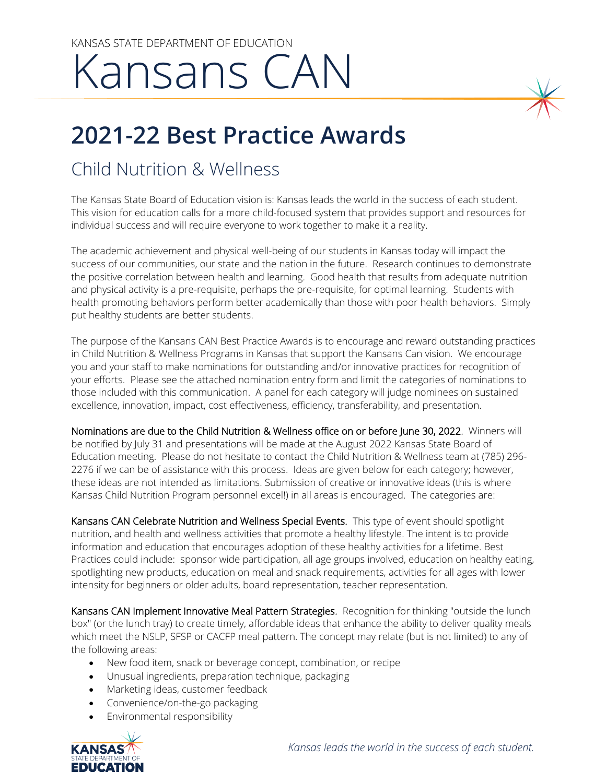## KANSAS STATE DEPARTMENT OF EDUCATION Kansans CAN

## **2021-22 Best Practice Awards**

## Child Nutrition & Wellness

The Kansas State Board of Education vision is: Kansas leads the world in the success of each student. individual success and will require everyone to work together to make it a reality. This vision for education calls for a more child-focused system that provides support and resources for

put healthy students are better students. The academic achievement and physical well-being of our students in Kansas today will impact the success of our communities, our state and the nation in the future. Research continues to demonstrate the positive correlation between health and learning. Good health that results from adequate nutrition and physical activity is a pre-requisite, perhaps the pre-requisite, for optimal learning. Students with health promoting behaviors perform better academically than those with poor health behaviors. Simply

excellence, innovation, impact, cost effectiveness, efficiency, transferability, and presentation. The purpose of the Kansans CAN Best Practice Awards is to encourage and reward outstanding practices in Child Nutrition & Wellness Programs in Kansas that support the Kansans Can vision. We encourage you and your staff to make nominations for outstanding and/or innovative practices for recognition of your efforts. Please see the attached nomination entry form and limit the categories of nominations to those included with this communication. A panel for each category will judge nominees on sustained

excellence, innovation, impact, cost effectiveness, efficiency, transferability, and presentation.<br>**Nominations are due to the Child Nutrition & Wellness office on or before June 30, 2022.** Winners will these ideas are not intended as limitations. Submission of creative or innovative ideas (this is where be notified by July 31 and presentations will be made at the August 2022 Kansas State Board of Education meeting. Please do not hesitate to contact the Child Nutrition & Wellness team at (785) 296- 2276 if we can be of assistance with this process. Ideas are given below for each category; however, Kansas Child Nutrition Program personnel excel!) in all areas is encouraged. The categories are:

Kansans CAN Celebrate Nutrition and Wellness Special Events. This type of event should spotlight nutrition, and health and wellness activities that promote a healthy lifestyle. The intent is to provide information and education that encourages adoption of these healthy activities for a lifetime. Best Practices could include: sponsor wide participation, all age groups involved, education on healthy eating, spotlighting new products, education on meal and snack requirements, activities for all ages with lower intensity for beginners or older adults, board representation, teacher representation.

Kansans CAN Implement Innovative Meal Pattern Strategies. Recognition for thinking "outside the lunch box" (or the lunch tray) to create timely, affordable ideas that enhance the ability to deliver quality meals which meet the NSLP, SFSP or CACFP meal pattern. The concept may relate (but is not limited) to any of the following areas:

- New food item, snack or beverage concept, combination, or recipe
- Unusual ingredients, preparation technique, packaging
- Marketing ideas, customer feedback
- Convenience/on-the-go packaging
- Environmental responsibility

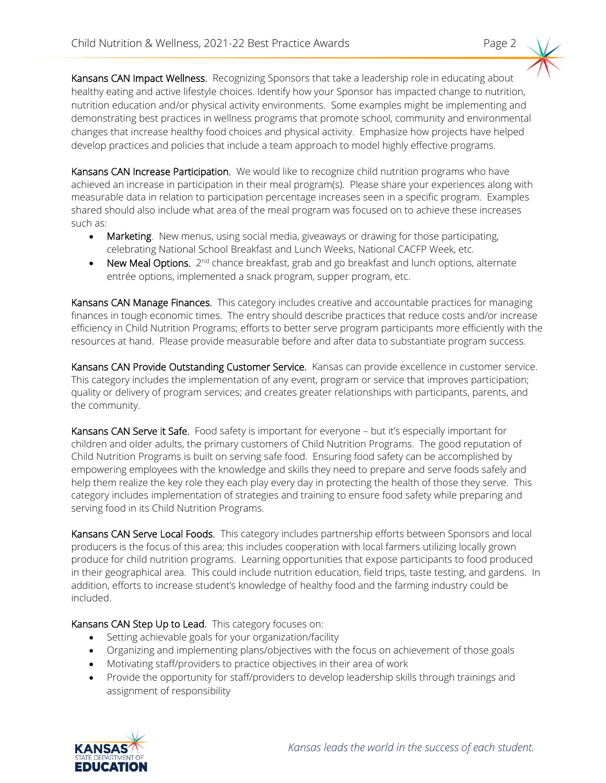**Kansans CAN Impact Wellness.** Recognizing Sponsors that take a leadership role in educating about nutrition education and/or physical activity environments. Some examples might be implementing and changes that increase healthy food choices and physical activity. Emphasize how projects have helped healthy eating and active lifestyle choices. Identify how your Sponsor has impacted change to nutrition, demonstrating best practices in wellness programs that promote school, community and environmental develop practices and policies that include a team approach to model highly effective programs.

**Kansans CAN Increase Participation.** We would like to recognize child nutrition programs who have achieved an increase in participation in their meal program(s). Please share your experiences along with measurable data in relation to participation percentage increases seen in a specific program. Examples shared should also include what area of the meal program was focused on to achieve these increases such as:

- Marketing. New menus, using social media, giveaways or drawing for those participating, celebrating National School Breakfast and Lunch Weeks, National CACFP Week, etc.
- New Meal Options. 2<sup>nd</sup> chance breakfast, grab and go breakfast and lunch options, alternate entrée options, implemented a snack program, supper program, etc.

Kansans CAN Manage Finances. This category includes creative and accountable practices for managing finances in tough economic times. The entry should describe practices that reduce costs and/or increase efficiency in Child Nutrition Programs; efforts to better serve program participants more efficiently with the resources at hand. Please provide measurable before and after data to substantiate program success.

Kansans CAN Provide Outstanding Customer Service. Kansas can provide excellence in customer service. This category includes the implementation of any event, program or service that improves participation; quality or delivery of program services; and creates greater relationships with participants, parents, and the community.

**Kansans CAN Serve it Safe.** Food safety is important for everyone – but it's especially important for children and older adults, the primary customers of Child Nutrition Programs. The good reputation of Child Nutrition Programs is built on serving safe food. Ensuring food safety can be accomplished by help them realize the key role they each play every day in protecting the health of those they serve. This empowering employees with the knowledge and skills they need to prepare and serve foods safely and category includes implementation of strategies and training to ensure food safety while preparing and serving food in its Child Nutrition Programs.

Kansans CAN Serve Local Foods. This category includes partnership efforts between Sponsors and local addition, efforts to increase student's knowledge of healthy food and the farming industry could be producers is the focus of this area; this includes cooperation with local farmers utilizing locally grown produce for child nutrition programs. Learning opportunities that expose participants to food produced in their geographical area. This could include nutrition education, field trips, taste testing, and gardens. In included.

Kansans CAN Step Up to Lead. This category focuses on:

- Setting achievable goals for your organization/facility
- Organizing and implementing plans/objectives with the focus on achievement of those goals
- Motivating staff/providers to practice objectives in their area of work
- Provide the opportunity for staff/providers to develop leadership skills through trainings and assignment of responsibility

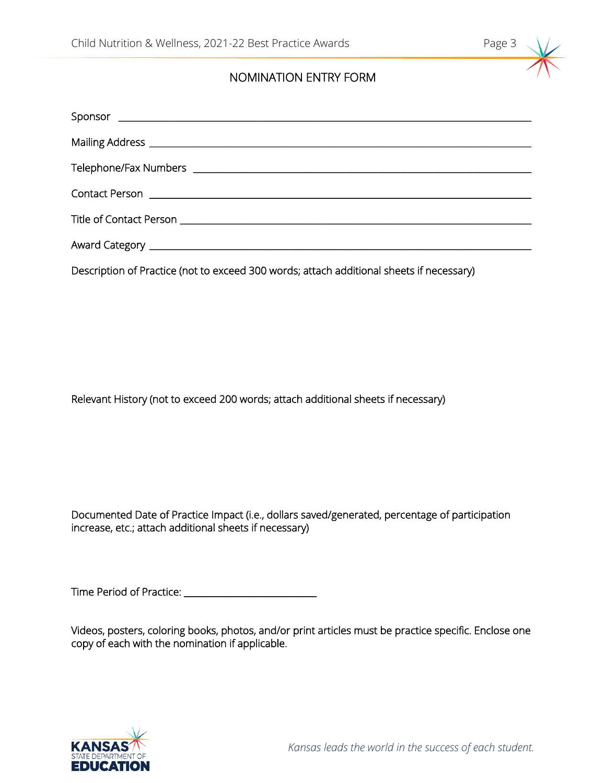## NOMINATION ENTRY FORM

| Contact Person                                                                                                |
|---------------------------------------------------------------------------------------------------------------|
|                                                                                                               |
| Award Category [1986] Award Category [1986] Award Category [1986] Award Category [1986] Award Category [1986] |
| Description of Practice (not to exceed 300 words; attach additional sheets if necessary)                      |

Relevant History (not to exceed 200 words; attach additional sheets if necessary)

 Documented Date of Practice Impact (i.e., dollars saved/generated, percentage of participation increase, etc.; attach additional sheets if necessary)

Time Period of Practice: \_\_\_\_\_\_\_\_\_\_\_\_\_\_\_\_\_\_\_\_\_\_\_\_\_\_\_\_\_\_\_

 Videos, posters, coloring books, photos, and/or print articles must be practice specific. Enclose one copy of each with the nomination if applicable.